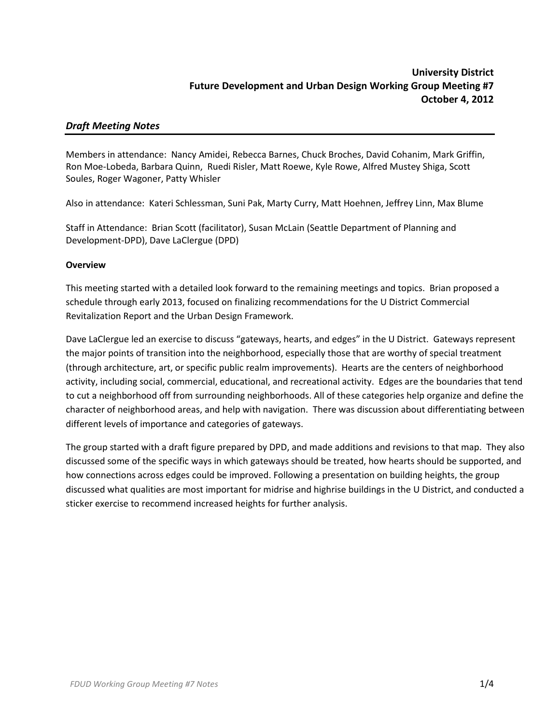# *Draft Meeting Notes*

Members in attendance: Nancy Amidei, Rebecca Barnes, Chuck Broches, David Cohanim, Mark Griffin, Ron Moe-Lobeda, Barbara Quinn, Ruedi Risler, Matt Roewe, Kyle Rowe, Alfred Mustey Shiga, Scott Soules, Roger Wagoner, Patty Whisler

Also in attendance: Kateri Schlessman, Suni Pak, Marty Curry, Matt Hoehnen, Jeffrey Linn, Max Blume

Staff in Attendance: Brian Scott (facilitator), Susan McLain (Seattle Department of Planning and Development-DPD), Dave LaClergue (DPD)

## **Overview**

This meeting started with a detailed look forward to the remaining meetings and topics. Brian proposed a schedule through early 2013, focused on finalizing recommendations for the U District Commercial Revitalization Report and the Urban Design Framework.

Dave LaClergue led an exercise to discuss "gateways, hearts, and edges" in the U District. Gateways represent the major points of transition into the neighborhood, especially those that are worthy of special treatment (through architecture, art, or specific public realm improvements). Hearts are the centers of neighborhood activity, including social, commercial, educational, and recreational activity. Edges are the boundaries that tend to cut a neighborhood off from surrounding neighborhoods. All of these categories help organize and define the character of neighborhood areas, and help with navigation. There was discussion about differentiating between different levels of importance and categories of gateways.

The group started with a draft figure prepared by DPD, and made additions and revisions to that map. They also discussed some of the specific ways in which gateways should be treated, how hearts should be supported, and how connections across edges could be improved. Following a presentation on building heights, the group discussed what qualities are most important for midrise and highrise buildings in the U District, and conducted a sticker exercise to recommend increased heights for further analysis.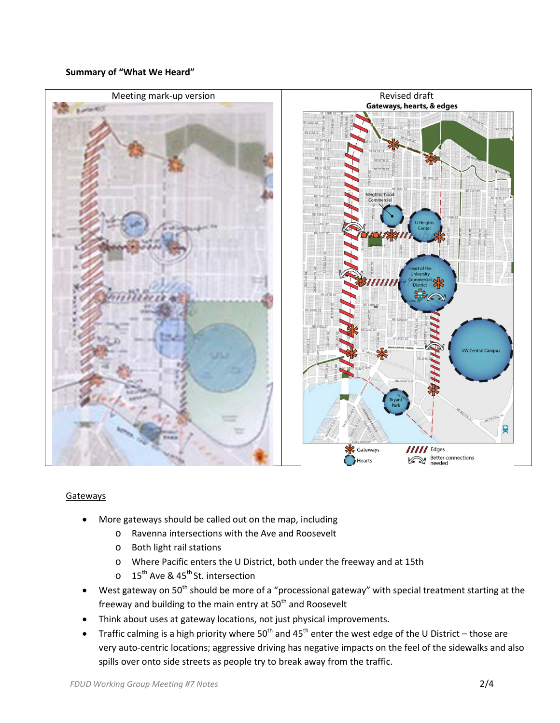### **Summary of "What We Heard"**



### Gateways

- More gateways should be called out on the map, including
	- o Ravenna intersections with the Ave and Roosevelt
	- o Both light rail stations
	- o Where Pacific enters the U District, both under the freeway and at 15th
	- o 15<sup>th</sup> Ave & 45<sup>th</sup> St. intersection
- West gateway on 50<sup>th</sup> should be more of a "processional gateway" with special treatment starting at the freeway and building to the main entry at  $50<sup>th</sup>$  and Roosevelt
- Think about uses at gateway locations, not just physical improvements.
- Traffic calming is a high priority where 50<sup>th</sup> and 45<sup>th</sup> enter the west edge of the U District those are very auto-centric locations; aggressive driving has negative impacts on the feel of the sidewalks and also spills over onto side streets as people try to break away from the traffic.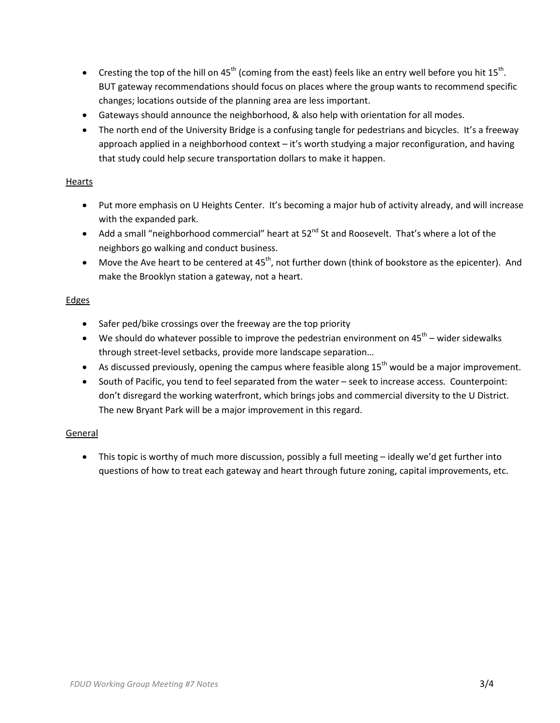- Cresting the top of the hill on  $45<sup>th</sup>$  (coming from the east) feels like an entry well before you hit 15<sup>th</sup>. BUT gateway recommendations should focus on places where the group wants to recommend specific changes; locations outside of the planning area are less important.
- Gateways should announce the neighborhood, & also help with orientation for all modes.
- The north end of the University Bridge is a confusing tangle for pedestrians and bicycles. It's a freeway approach applied in a neighborhood context – it's worth studying a major reconfiguration, and having that study could help secure transportation dollars to make it happen.

## Hearts

- Put more emphasis on U Heights Center. It's becoming a major hub of activity already, and will increase with the expanded park.
- Add a small "neighborhood commercial" heart at  $52^{nd}$  St and Roosevelt. That's where a lot of the neighbors go walking and conduct business.
- Move the Ave heart to be centered at  $45<sup>th</sup>$ , not further down (think of bookstore as the epicenter). And make the Brooklyn station a gateway, not a heart.

## **Edges**

- Safer ped/bike crossings over the freeway are the top priority
- We should do whatever possible to improve the pedestrian environment on  $45<sup>th</sup>$  wider sidewalks through street-level setbacks, provide more landscape separation…
- As discussed previously, opening the campus where feasible along  $15<sup>th</sup>$  would be a major improvement.
- South of Pacific, you tend to feel separated from the water seek to increase access. Counterpoint: don't disregard the working waterfront, which brings jobs and commercial diversity to the U District. The new Bryant Park will be a major improvement in this regard.

### General

• This topic is worthy of much more discussion, possibly a full meeting – ideally we'd get further into questions of how to treat each gateway and heart through future zoning, capital improvements, etc.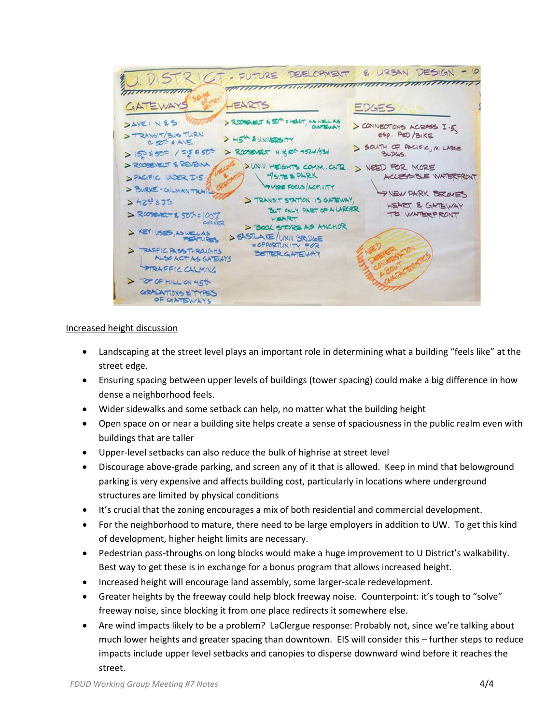

## Increased height discussion

- Landscaping at the street level plays an important role in determining what a building "feels like" at the street edge.
- Ensuring spacing between upper levels of buildings (tower spacing) could make a big difference in how dense a neighborhood feels.
- Wider sidewalks and some setback can help, no matter what the building height
- Open space on or near a building site helps create a sense of spaciousness in the public realm even with buildings that are taller
- Upper-level setbacks can also reduce the bulk of highrise at street level
- Discourage above-grade parking, and screen any of it that is allowed. Keep in mind that belowground parking is very expensive and affects building cost, particularly in locations where underground structures are limited by physical conditions
- It's crucial that the zoning encourages a mix of both residential and commercial development.
- For the neighborhood to mature, there need to be large employers in addition to UW. To get this kind of development, higher height limits are necessary.
- Pedestrian pass-throughs on long blocks would make a huge improvement to U District's walkability. Best way to get these is in exchange for a bonus program that allows increased height.
- Increased height will encourage land assembly, some larger-scale redevelopment.
- Greater heights by the freeway could help block freeway noise. Counterpoint: it's tough to "solve" freeway noise, since blocking it from one place redirects it somewhere else.
- Are wind impacts likely to be a problem? LaClergue response: Probably not, since we're talking about much lower heights and greater spacing than downtown. EIS will consider this – further steps to reduce impacts include upper level setbacks and canopies to disperse downward wind before it reaches the street.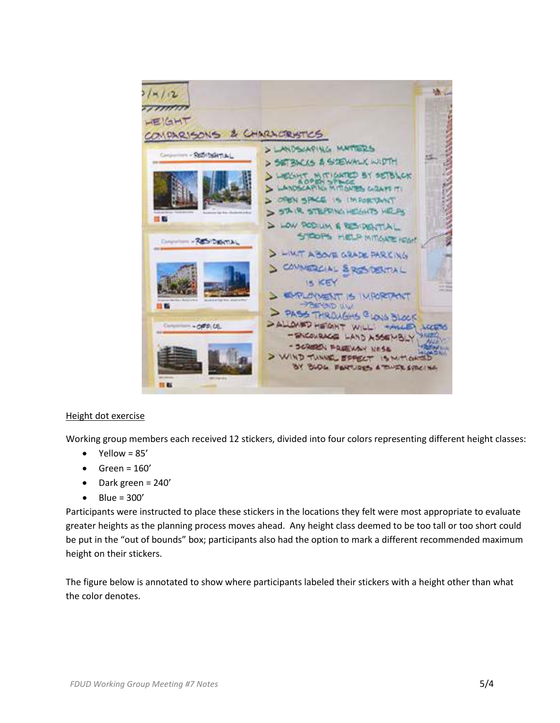

### Height dot exercise

Working group members each received 12 stickers, divided into four colors representing different height classes:

- $\bullet$  Yellow = 85'
- $\bullet$  Green = 160'
- Dark green = 240'
- $\bullet$  Blue = 300'

Participants were instructed to place these stickers in the locations they felt were most appropriate to evaluate greater heights as the planning process moves ahead. Any height class deemed to be too tall or too short could be put in the "out of bounds" box; participants also had the option to mark a different recommended maximum height on their stickers.

The figure below is annotated to show where participants labeled their stickers with a height other than what the color denotes.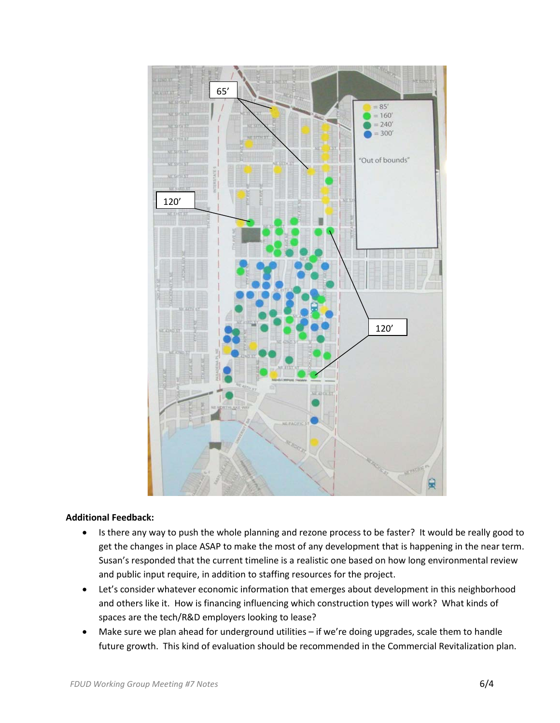

#### **Additional Feedback:**

- Is there any way to push the whole planning and rezone process to be faster? It would be really good to get the changes in place ASAP to make the most of any development that is happening in the near term. Susan's responded that the current timeline is a realistic one based on how long environmental review and public input require, in addition to staffing resources for the project.
- Let's consider whatever economic information that emerges about development in this neighborhood and others like it. How is financing influencing which construction types will work? What kinds of spaces are the tech/R&D employers looking to lease?
- Make sure we plan ahead for underground utilities if we're doing upgrades, scale them to handle future growth. This kind of evaluation should be recommended in the Commercial Revitalization plan.